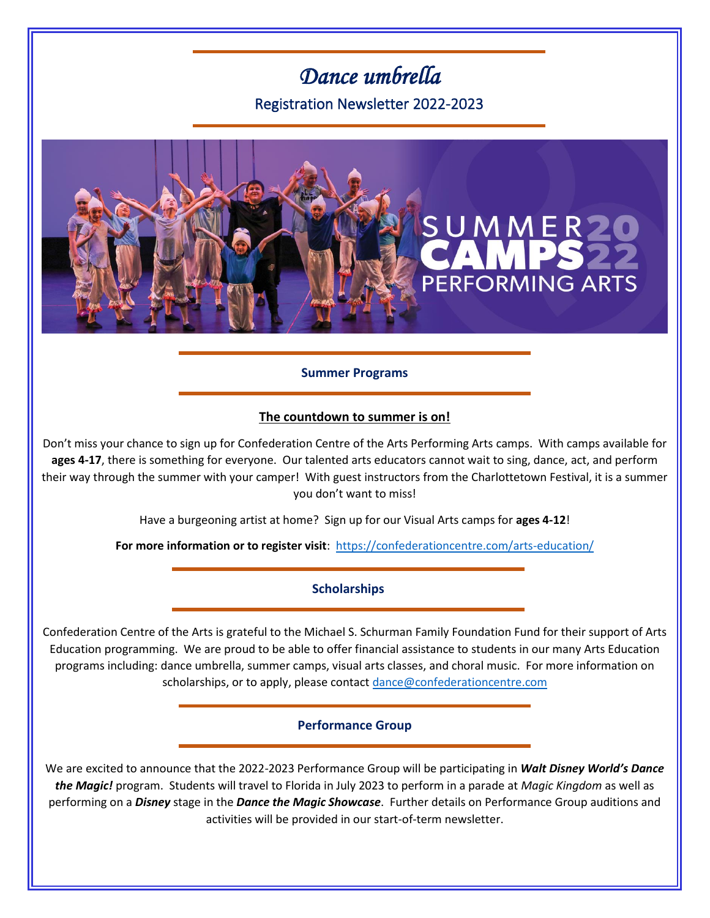# *Dance umbrella*

Registration Newsletter 2022-2023



# **Summer Programs**

## **The countdown to summer is on!**

Don't miss your chance to sign up for Confederation Centre of the Arts Performing Arts camps. With camps available for **ages 4-17**, there is something for everyone. Our talented arts educators cannot wait to sing, dance, act, and perform their way through the summer with your camper! With guest instructors from the Charlottetown Festival, it is a summer you don't want to miss!

Have a burgeoning artist at home? Sign up for our Visual Arts camps for **ages 4-12**!

**For more information or to register visit**: <https://confederationcentre.com/arts-education/>

## **Scholarships**

Confederation Centre of the Arts is grateful to the Michael S. Schurman Family Foundation Fund for their support of Arts Education programming. We are proud to be able to offer financial assistance to students in our many Arts Education programs including: dance umbrella, summer camps, visual arts classes, and choral music. For more information on scholarships, or to apply, please contact [dance@confederationcentre.com](mailto:dance@confederationcentre.com)

**Performance Group**

We are excited to announce that the 2022-2023 Performance Group will be participating in *Walt Disney World's Dance the Magic!* program. Students will travel to Florida in July 2023 to perform in a parade at *Magic Kingdom* as well as performing on a *Disney* stage in the *Dance the Magic Showcase*. Further details on Performance Group auditions and activities will be provided in our start-of-term newsletter.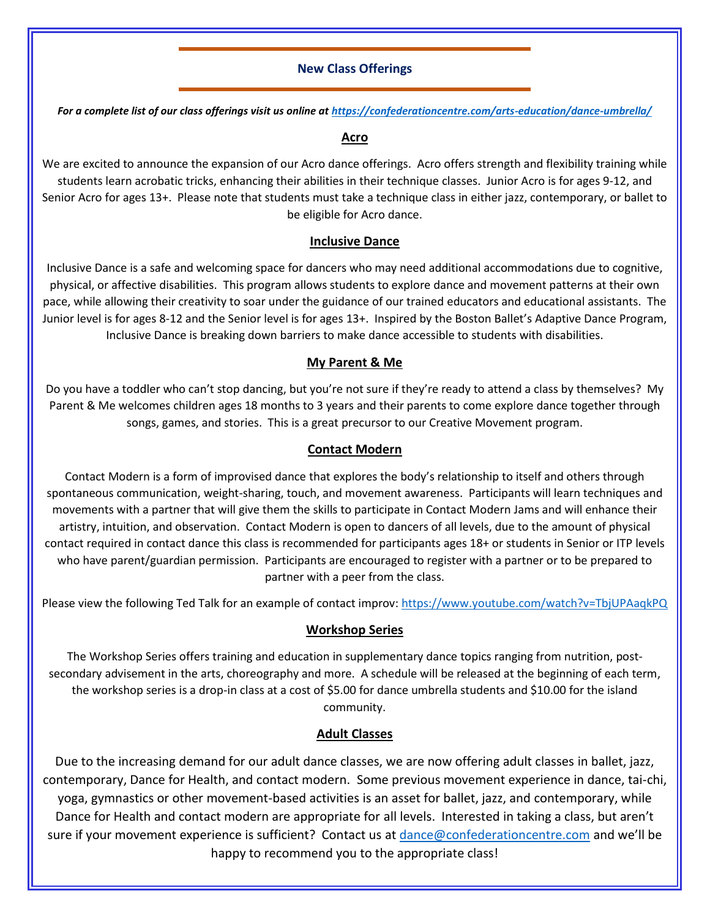## **New Class Offerings**

*For a complete list of our class offerings visit us online at<https://confederationcentre.com/arts-education/dance-umbrella/>*

#### **Acro**

We are excited to announce the expansion of our Acro dance offerings. Acro offers strength and flexibility training while students learn acrobatic tricks, enhancing their abilities in their technique classes. Junior Acro is for ages 9-12, and Senior Acro for ages 13+. Please note that students must take a technique class in either jazz, contemporary, or ballet to be eligible for Acro dance.

## **Inclusive Dance**

Inclusive Dance is a safe and welcoming space for dancers who may need additional accommodations due to cognitive, physical, or affective disabilities. This program allows students to explore dance and movement patterns at their own pace, while allowing their creativity to soar under the guidance of our trained educators and educational assistants. The Junior level is for ages 8-12 and the Senior level is for ages 13+. Inspired by the Boston Ballet's Adaptive Dance Program, Inclusive Dance is breaking down barriers to make dance accessible to students with disabilities.

## **My Parent & Me**

Do you have a toddler who can't stop dancing, but you're not sure if they're ready to attend a class by themselves? My Parent & Me welcomes children ages 18 months to 3 years and their parents to come explore dance together through songs, games, and stories. This is a great precursor to our Creative Movement program.

## **Contact Modern**

Contact Modern is a form of improvised dance that explores the body's relationship to itself and others through spontaneous communication, weight-sharing, touch, and movement awareness. Participants will learn techniques and movements with a partner that will give them the skills to participate in Contact Modern Jams and will enhance their artistry, intuition, and observation. Contact Modern is open to dancers of all levels, due to the amount of physical contact required in contact dance this class is recommended for participants ages 18+ or students in Senior or ITP levels who have parent/guardian permission. Participants are encouraged to register with a partner or to be prepared to partner with a peer from the class.

Please view the following Ted Talk for an example of contact improv:<https://www.youtube.com/watch?v=TbjUPAaqkPQ>

## **Workshop Series**

The Workshop Series offers training and education in supplementary dance topics ranging from nutrition, postsecondary advisement in the arts, choreography and more. A schedule will be released at the beginning of each term, the workshop series is a drop-in class at a cost of \$5.00 for dance umbrella students and \$10.00 for the island community.

## **Adult Classes**

Due to the increasing demand for our adult dance classes, we are now offering adult classes in ballet, jazz, contemporary, Dance for Health, and contact modern. Some previous movement experience in dance, tai-chi, yoga, gymnastics or other movement-based activities is an asset for ballet, jazz, and contemporary, while Dance for Health and contact modern are appropriate for all levels. Interested in taking a class, but aren't sure if your movement experience is sufficient? Contact us at [dance@confederationcentre.com](mailto:dance@confederationcentre.com) and we'll be happy to recommend you to the appropriate class!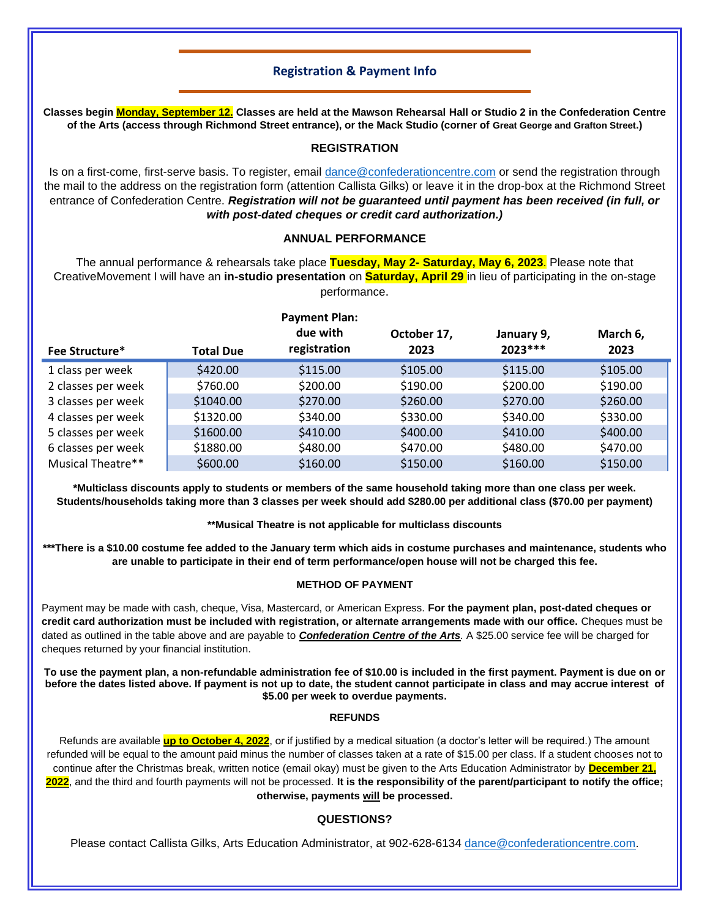## **Registration & Payment Info**

**Classes begin Monday, September 12. Classes are held at the Mawson Rehearsal Hall or Studio 2 in the Confederation Centre of the Arts (access through Richmond Street entrance), or the Mack Studio (corner of Great George and Grafton Street.)**

#### **REGISTRATION**

Is on a first-come, first-serve basis. To register, email [dance@confederationcentre.com](mailto:dance@confederationcentre.com) or send the registration through the mail to the address on the registration form (attention Callista Gilks) or leave it in the drop-box at the Richmond Street entrance of Confederation Centre. *Registration will not be guaranteed until payment has been received (in full, or with post-dated cheques or credit card authorization.)*

#### **ANNUAL PERFORMANCE**

The annual performance & rehearsals take place **Tuesday, May 2- Saturday, May 6, 2023**. Please note that CreativeMovement I will have an **in-studio presentation** on **Saturday, April 29** in lieu of participating in the on-stage performance.

| <b>Payment Plan:</b><br>due with<br>October 17,<br>March 6,<br>January 9, |              |          |           |          |
|---------------------------------------------------------------------------|--------------|----------|-----------|----------|
| <b>Total Due</b>                                                          | registration | 2023     | $2023***$ | 2023     |
| \$420.00                                                                  | \$115.00     | \$105.00 | \$115.00  | \$105.00 |
| \$760.00                                                                  | \$200.00     | \$190.00 | \$200.00  | \$190.00 |
| \$1040.00                                                                 | \$270.00     | \$260.00 | \$270.00  | \$260.00 |
| \$1320.00                                                                 | \$340.00     | \$330.00 | \$340.00  | \$330.00 |
| \$1600.00                                                                 | \$410.00     | \$400.00 | \$410.00  | \$400.00 |
| \$1880.00                                                                 | \$480.00     | \$470.00 | \$480.00  | \$470.00 |
| \$600.00                                                                  | \$160.00     | \$150.00 | \$160.00  | \$150.00 |
|                                                                           |              |          |           |          |

**\*Multiclass discounts apply to students or members of the same household taking more than one class per week. Students/households taking more than 3 classes per week should add \$280.00 per additional class (\$70.00 per payment)**

**\*\*Musical Theatre is not applicable for multiclass discounts**

**\*\*\*There is a \$10.00 costume fee added to the January term which aids in costume purchases and maintenance, students who are unable to participate in their end of term performance/open house will not be charged this fee.**

#### **METHOD OF PAYMENT**

Payment may be made with cash, cheque, Visa, Mastercard, or American Express. **For the payment plan, post-dated cheques or credit card authorization must be included with registration, or alternate arrangements made with our office.** Cheques must be dated as outlined in the table above and are payable to *Confederation Centre of the Arts.* A \$25.00 service fee will be charged for cheques returned by your financial institution.

**To use the payment plan, a non-refundable administration fee of \$10.00 is included in the first payment. Payment is due on or before the dates listed above. If payment is not up to date, the student cannot participate in class and may accrue interest of \$5.00 per week to overdue payments.**

#### **REFUNDS**

Refunds are available **up to October 4, 2022**, or if justified by a medical situation (a doctor's letter will be required.) The amount refunded will be equal to the amount paid minus the number of classes taken at a rate of \$15.00 per class. If a student chooses not to continue after the Christmas break, written notice (email okay) must be given to the Arts Education Administrator by **December 21, 2022**, and the third and fourth payments will not be processed. **It is the responsibility of the parent/participant to notify the office; otherwise, payments will be processed.**

#### **QUESTIONS?**

Please contact Callista Gilks, Arts Education Administrator, at 902-628-6134 [dance@confederationcentre.com.](mailto:dance@confederationcentre.com)